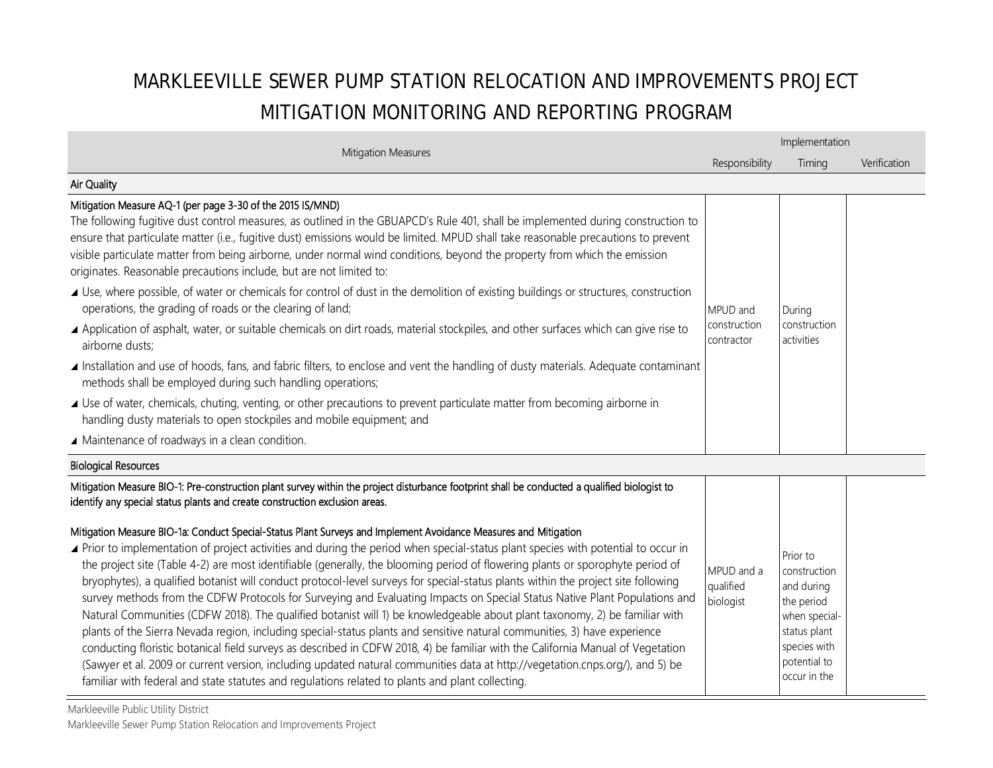# MARKLEEVILLE SEWER PUMP STATION RELOCATION AND IMPROVEMENTS PROJECT MITIGATION MONITORING AND REPORTING PROGRAM

| Mitigation Measures                                                                                                                                                                                                                                                                                                                                                                                                                                                                                                                                                                                                                                                                                                                                                                                                                                                                                                                                                                                                                                                                                                                                                                                                                                                                                                                                                                                                                                                                                                          |                                        | Implementation                                                                                                                        |              |  |  |
|------------------------------------------------------------------------------------------------------------------------------------------------------------------------------------------------------------------------------------------------------------------------------------------------------------------------------------------------------------------------------------------------------------------------------------------------------------------------------------------------------------------------------------------------------------------------------------------------------------------------------------------------------------------------------------------------------------------------------------------------------------------------------------------------------------------------------------------------------------------------------------------------------------------------------------------------------------------------------------------------------------------------------------------------------------------------------------------------------------------------------------------------------------------------------------------------------------------------------------------------------------------------------------------------------------------------------------------------------------------------------------------------------------------------------------------------------------------------------------------------------------------------------|----------------------------------------|---------------------------------------------------------------------------------------------------------------------------------------|--------------|--|--|
|                                                                                                                                                                                                                                                                                                                                                                                                                                                                                                                                                                                                                                                                                                                                                                                                                                                                                                                                                                                                                                                                                                                                                                                                                                                                                                                                                                                                                                                                                                                              | Responsibility                         | Timing                                                                                                                                | Verification |  |  |
| Air Quality                                                                                                                                                                                                                                                                                                                                                                                                                                                                                                                                                                                                                                                                                                                                                                                                                                                                                                                                                                                                                                                                                                                                                                                                                                                                                                                                                                                                                                                                                                                  |                                        |                                                                                                                                       |              |  |  |
| Mitigation Measure AQ-1 (per page 3-30 of the 2015 IS/MND)<br>The following fugitive dust control measures, as outlined in the GBUAPCD's Rule 401, shall be implemented during construction to<br>ensure that particulate matter (i.e., fugitive dust) emissions would be limited. MPUD shall take reasonable precautions to prevent<br>visible particulate matter from being airborne, under normal wind conditions, beyond the property from which the emission<br>originates. Reasonable precautions include, but are not limited to:                                                                                                                                                                                                                                                                                                                                                                                                                                                                                                                                                                                                                                                                                                                                                                                                                                                                                                                                                                                     |                                        |                                                                                                                                       |              |  |  |
| ▲ Use, where possible, of water or chemicals for control of dust in the demolition of existing buildings or structures, construction<br>operations, the grading of roads or the clearing of land;<br>▲ Application of asphalt, water, or suitable chemicals on dirt roads, material stockpiles, and other surfaces which can give rise to<br>airborne dusts;                                                                                                                                                                                                                                                                                                                                                                                                                                                                                                                                                                                                                                                                                                                                                                                                                                                                                                                                                                                                                                                                                                                                                                 | MPUD and<br>construction<br>contractor | During<br>construction<br>activities                                                                                                  |              |  |  |
| Installation and use of hoods, fans, and fabric filters, to enclose and vent the handling of dusty materials. Adequate contaminant<br>methods shall be employed during such handling operations;                                                                                                                                                                                                                                                                                                                                                                                                                                                                                                                                                                                                                                                                                                                                                                                                                                                                                                                                                                                                                                                                                                                                                                                                                                                                                                                             |                                        |                                                                                                                                       |              |  |  |
| ▲ Use of water, chemicals, chuting, venting, or other precautions to prevent particulate matter from becoming airborne in<br>handling dusty materials to open stockpiles and mobile equipment; and                                                                                                                                                                                                                                                                                                                                                                                                                                                                                                                                                                                                                                                                                                                                                                                                                                                                                                                                                                                                                                                                                                                                                                                                                                                                                                                           |                                        |                                                                                                                                       |              |  |  |
| ▲ Maintenance of roadways in a clean condition.                                                                                                                                                                                                                                                                                                                                                                                                                                                                                                                                                                                                                                                                                                                                                                                                                                                                                                                                                                                                                                                                                                                                                                                                                                                                                                                                                                                                                                                                              |                                        |                                                                                                                                       |              |  |  |
| <b>Biological Resources</b>                                                                                                                                                                                                                                                                                                                                                                                                                                                                                                                                                                                                                                                                                                                                                                                                                                                                                                                                                                                                                                                                                                                                                                                                                                                                                                                                                                                                                                                                                                  |                                        |                                                                                                                                       |              |  |  |
| Mitigation Measure BIO-1: Pre-construction plant survey within the project disturbance footprint shall be conducted a qualified biologist to<br>identify any special status plants and create construction exclusion areas.<br>Mitigation Measure BIO-1a: Conduct Special-Status Plant Surveys and Implement Avoidance Measures and Mitigation<br>▲ Prior to implementation of project activities and during the period when special-status plant species with potential to occur in<br>the project site (Table 4-2) are most identifiable (generally, the blooming period of flowering plants or sporophyte period of<br>bryophytes), a qualified botanist will conduct protocol-level surveys for special-status plants within the project site following<br>survey methods from the CDFW Protocols for Surveying and Evaluating Impacts on Special Status Native Plant Populations and<br>Natural Communities (CDFW 2018). The qualified botanist will 1) be knowledgeable about plant taxonomy, 2) be familiar with<br>plants of the Sierra Nevada region, including special-status plants and sensitive natural communities, 3) have experience<br>conducting floristic botanical field surveys as described in CDFW 2018, 4) be familiar with the California Manual of Vegetation<br>(Sawyer et al. 2009 or current version, including updated natural communities data at http://vegetation.cnps.org/), and 5) be<br>familiar with federal and state statutes and regulations related to plants and plant collecting. | MPUD and a<br>qualified<br>biologist   | Prior to<br>construction<br>and during<br>the period<br>when special-<br>status plant<br>species with<br>potential to<br>occur in the |              |  |  |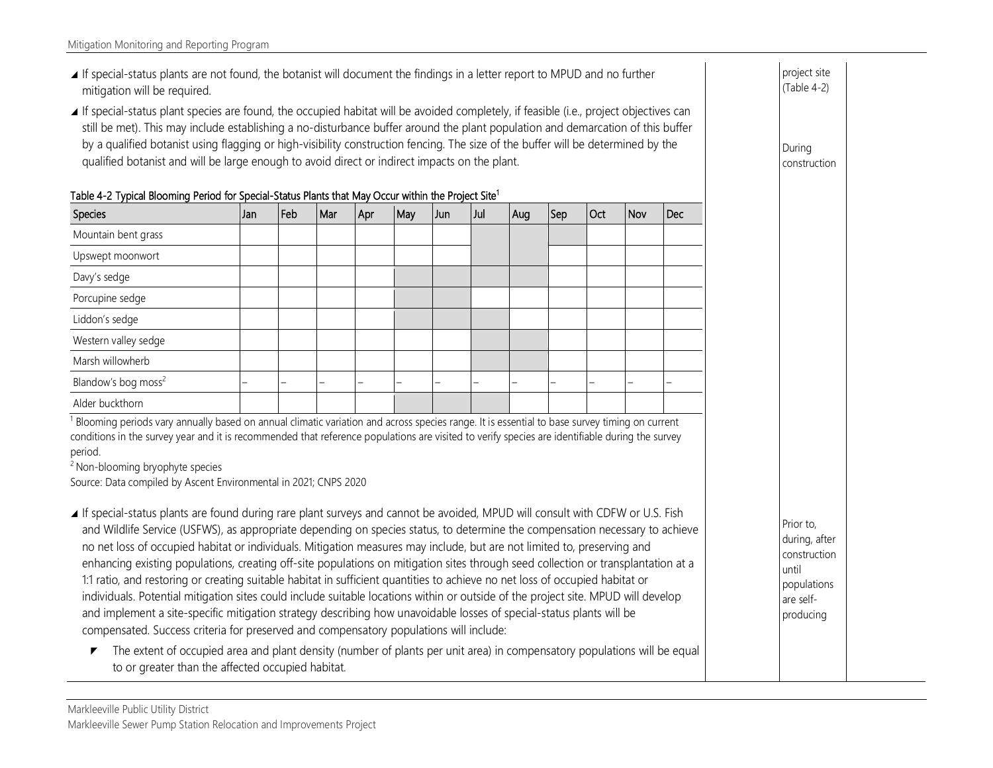- If special-status plants are not found, the botanist will document the findings in a letter report to MPUD and no further mitigation will be required.
- If special-status plant species are found, the occupied habitat will be avoided completely, if feasible (i.e., project objectives can still be met). This may include establishing a no-disturbance buffer around the plant population and demarcation of this buffer by a qualified botanist using flagging or high-visibility construction fencing. The size of the buffer will be determined by the qualified botanist and will be large enough to avoid direct or indirect impacts on the plant.

|  |  |  |  |  |  |  | Table 4-2 Typical Blooming Period for Special-Status Plants that May Occur within the Project Site <sup>1</sup> |
|--|--|--|--|--|--|--|-----------------------------------------------------------------------------------------------------------------|
|--|--|--|--|--|--|--|-----------------------------------------------------------------------------------------------------------------|

| Species                         | IJan | Feb | Mar | Apr | May | Jun | Jul                      | Aug | Sep | l Oct | Nov | Dec |
|---------------------------------|------|-----|-----|-----|-----|-----|--------------------------|-----|-----|-------|-----|-----|
| Mountain bent grass             |      |     |     |     |     |     |                          |     |     |       |     |     |
| Upswept moonwort                |      |     |     |     |     |     |                          |     |     |       |     |     |
| Davy's sedge                    |      |     |     |     |     |     |                          |     |     |       |     |     |
| Porcupine sedge                 |      |     |     |     |     |     |                          |     |     |       |     |     |
| Liddon's sedge                  |      |     |     |     |     |     |                          |     |     |       |     |     |
| Western valley sedge            |      |     |     |     |     |     |                          |     |     |       |     |     |
| Marsh willowherb                |      |     |     |     |     |     |                          |     |     |       |     |     |
| Blandow's bog moss <sup>2</sup> |      |     |     | -   | -   | -   | $\overline{\phantom{m}}$ |     |     |       |     |     |
| Alder buckthorn                 |      |     |     |     |     |     |                          |     |     |       |     |     |

<sup>1</sup> Blooming periods vary annually based on annual climatic variation and across species range. It is essential to base survey timing on current conditions in the survey year and it is recommended that reference populations are visited to verify species are identifiable during the survey period.

<sup>2</sup> Non-blooming bryophyte species

Source: Data compiled by Ascent Environmental in 2021; CNPS 2020

- If special-status plants are found during rare plant surveys and cannot be avoided, MPUD will consult with CDFW or U.S. Fish and Wildlife Service (USFWS), as appropriate depending on species status, to determine the compensation necessary to achieve no net loss of occupied habitat or individuals. Mitigation measures may include, but are not limited to, preserving and enhancing existing populations, creating off-site populations on mitigation sites through seed collection or transplantation at a 1:1 ratio, and restoring or creating suitable habitat in sufficient quantities to achieve no net loss of occupied habitat or individuals. Potential mitigation sites could include suitable locations within or outside of the project site. MPUD will develop and implement a site-specific mitigation strategy describing how unavoidable losses of special-status plants will be compensated. Success criteria for preserved and compensatory populations will include:
	- $\blacktriangleright$  The extent of occupied area and plant density (number of plants per unit area) in compensatory populations will be equal to or greater than the affected occupied habitat.

Prior to, during, after construction until populations are selfproducing

project site (Table 4-2)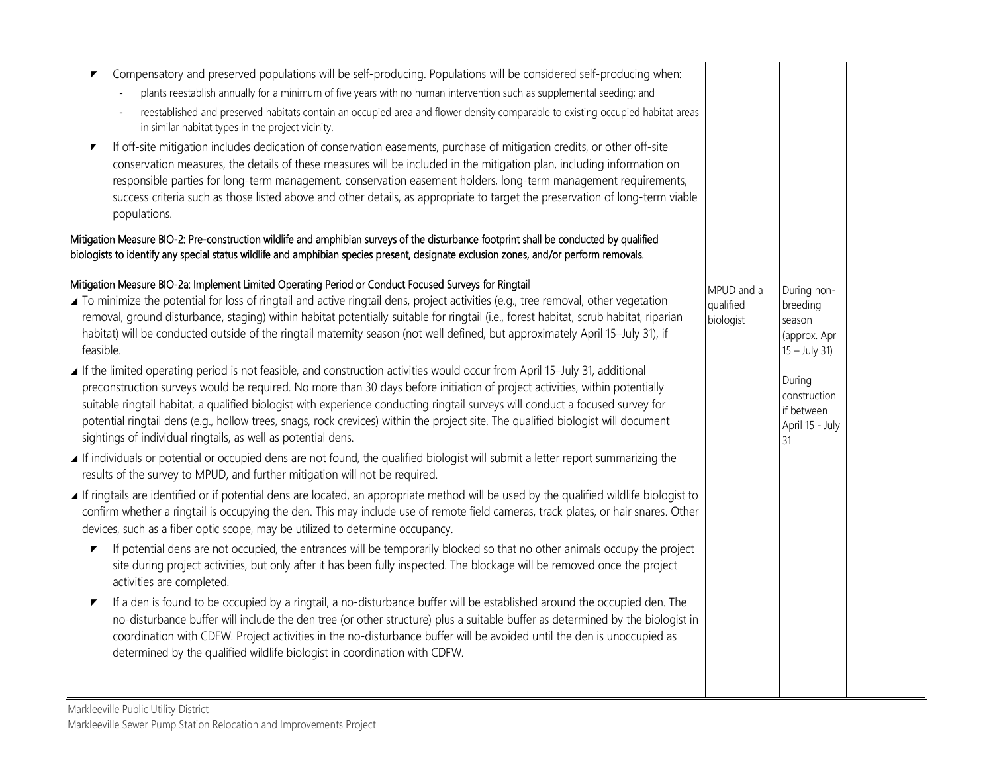| Compensatory and preserved populations will be self-producing. Populations will be considered self-producing when:<br>plants reestablish annually for a minimum of five years with no human intervention such as supplemental seeding; and<br>reestablished and preserved habitats contain an occupied area and flower density comparable to existing occupied habitat areas<br>in similar habitat types in the project vicinity.<br>If off-site mitigation includes dedication of conservation easements, purchase of mitigation credits, or other off-site<br>▼<br>conservation measures, the details of these measures will be included in the mitigation plan, including information on<br>responsible parties for long-term management, conservation easement holders, long-term management requirements,<br>success criteria such as those listed above and other details, as appropriate to target the preservation of long-term viable<br>populations.                                                                                                                                                                                                                                                                                                                                                                                                                                                                                                                                                                                                                                                                                                                                                                                                                                                                                                                                                                                                                                 |                                      |                                                                                                                                      |  |
|------------------------------------------------------------------------------------------------------------------------------------------------------------------------------------------------------------------------------------------------------------------------------------------------------------------------------------------------------------------------------------------------------------------------------------------------------------------------------------------------------------------------------------------------------------------------------------------------------------------------------------------------------------------------------------------------------------------------------------------------------------------------------------------------------------------------------------------------------------------------------------------------------------------------------------------------------------------------------------------------------------------------------------------------------------------------------------------------------------------------------------------------------------------------------------------------------------------------------------------------------------------------------------------------------------------------------------------------------------------------------------------------------------------------------------------------------------------------------------------------------------------------------------------------------------------------------------------------------------------------------------------------------------------------------------------------------------------------------------------------------------------------------------------------------------------------------------------------------------------------------------------------------------------------------------------------------------------------------------------------|--------------------------------------|--------------------------------------------------------------------------------------------------------------------------------------|--|
| Mitigation Measure BIO-2: Pre-construction wildlife and amphibian surveys of the disturbance footprint shall be conducted by qualified<br>biologists to identify any special status wildlife and amphibian species present, designate exclusion zones, and/or perform removals.                                                                                                                                                                                                                                                                                                                                                                                                                                                                                                                                                                                                                                                                                                                                                                                                                                                                                                                                                                                                                                                                                                                                                                                                                                                                                                                                                                                                                                                                                                                                                                                                                                                                                                                |                                      |                                                                                                                                      |  |
| Mitigation Measure BIO-2a: Implement Limited Operating Period or Conduct Focused Surveys for Ringtail<br>▲ To minimize the potential for loss of ringtail and active ringtail dens, project activities (e.g., tree removal, other vegetation<br>removal, ground disturbance, staging) within habitat potentially suitable for ringtail (i.e., forest habitat, scrub habitat, riparian<br>habitat) will be conducted outside of the ringtail maternity season (not well defined, but approximately April 15-July 31), if<br>feasible.<br>■ If the limited operating period is not feasible, and construction activities would occur from April 15-July 31, additional<br>preconstruction surveys would be required. No more than 30 days before initiation of project activities, within potentially<br>suitable ringtail habitat, a qualified biologist with experience conducting ringtail surveys will conduct a focused survey for<br>potential ringtail dens (e.g., hollow trees, snags, rock crevices) within the project site. The qualified biologist will document<br>sightings of individual ringtails, as well as potential dens.<br>If individuals or potential or occupied dens are not found, the qualified biologist will submit a letter report summarizing the<br>results of the survey to MPUD, and further mitigation will not be required.<br>If ringtails are identified or if potential dens are located, an appropriate method will be used by the qualified wildlife biologist to<br>confirm whether a ringtail is occupying the den. This may include use of remote field cameras, track plates, or hair snares. Other<br>devices, such as a fiber optic scope, may be utilized to determine occupancy.<br>If potential dens are not occupied, the entrances will be temporarily blocked so that no other animals occupy the project<br>▼<br>site during project activities, but only after it has been fully inspected. The blockage will be removed once the project | MPUD and a<br>qualified<br>biologist | During non-<br>breeding<br>season<br>(approx. Apr<br>$15 - July 31$<br>During<br>construction<br>if between<br>April 15 - July<br>31 |  |
| activities are completed.<br>If a den is found to be occupied by a ringtail, a no-disturbance buffer will be established around the occupied den. The<br>▼<br>no-disturbance buffer will include the den tree (or other structure) plus a suitable buffer as determined by the biologist in<br>coordination with CDFW. Project activities in the no-disturbance buffer will be avoided until the den is unoccupied as<br>determined by the qualified wildlife biologist in coordination with CDFW.                                                                                                                                                                                                                                                                                                                                                                                                                                                                                                                                                                                                                                                                                                                                                                                                                                                                                                                                                                                                                                                                                                                                                                                                                                                                                                                                                                                                                                                                                             |                                      |                                                                                                                                      |  |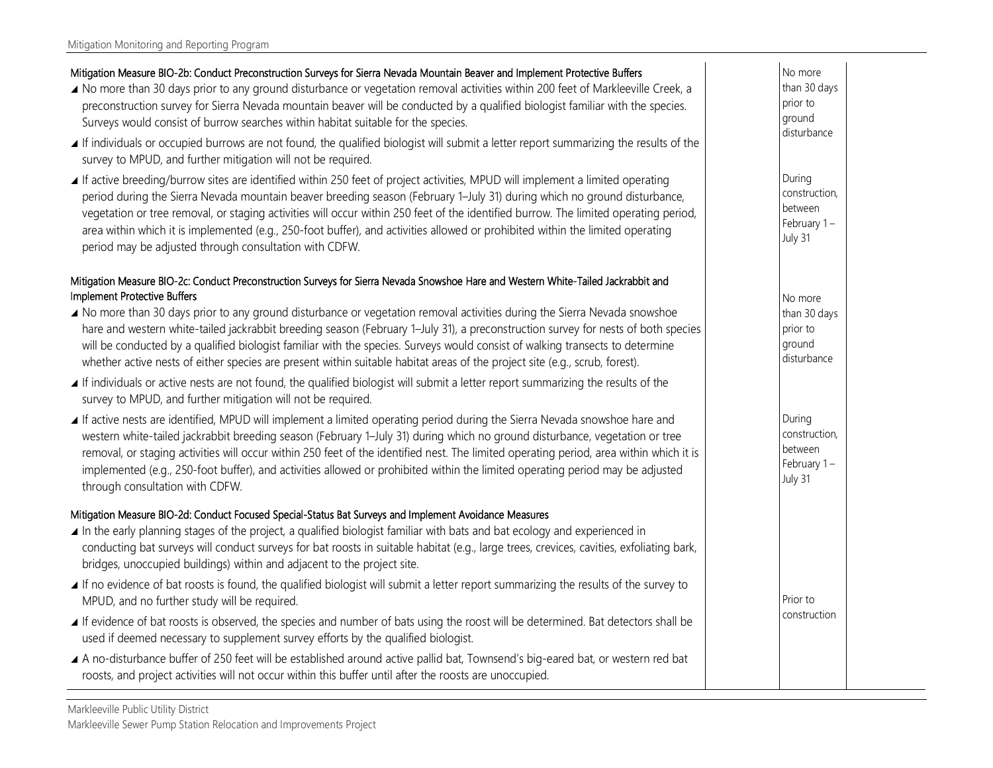### Mitigation Measure BIO-2b: Conduct Preconstruction Surveys for Sierra Nevada Mountain Beaver and Implement Protective Buffers

- No more than 30 days prior to any ground disturbance or vegetation removal activities within 200 feet of Markleeville Creek, a preconstruction survey for Sierra Nevada mountain beaver will be conducted by a qualified biologist familiar with the species. Surveys would consist of burrow searches within habitat suitable for the species.
- If individuals or occupied burrows are not found, the qualified biologist will submit a letter report summarizing the results of the survey to MPUD, and further mitigation will not be required.
- If active breeding/burrow sites are identified within 250 feet of project activities, MPUD will implement a limited operating period during the Sierra Nevada mountain beaver breeding season (February 1–July 31) during which no ground disturbance, vegetation or tree removal, or staging activities will occur within 250 feet of the identified burrow. The limited operating period, area within which it is implemented (e.g., 250-foot buffer), and activities allowed or prohibited within the limited operating period may be adjusted through consultation with CDFW.

#### Mitigation Measure BIO-2c: Conduct Preconstruction Surveys for Sierra Nevada Snowshoe Hare and Western White-Tailed Jackrabbit and Implement Protective Buffers

- No more than 30 days prior to any ground disturbance or vegetation removal activities during the Sierra Nevada snowshoe hare and western white-tailed jackrabbit breeding season (February 1–July 31), a preconstruction survey for nests of both species will be conducted by a qualified biologist familiar with the species. Surveys would consist of walking transects to determine whether active nests of either species are present within suitable habitat areas of the project site (e.g., scrub, forest).
- If individuals or active nests are not found, the qualified biologist will submit a letter report summarizing the results of the survey to MPUD, and further mitigation will not be required.
- If active nests are identified, MPUD will implement a limited operating period during the Sierra Nevada snowshoe hare and western white-tailed jackrabbit breeding season (February 1–July 31) during which no ground disturbance, vegetation or tree removal, or staging activities will occur within 250 feet of the identified nest. The limited operating period, area within which it is implemented (e.g., 250-foot buffer), and activities allowed or prohibited within the limited operating period may be adjusted through consultation with CDFW.

#### Mitigation Measure BIO-2d: Conduct Focused Special-Status Bat Surveys and Implement Avoidance Measures

- In the early planning stages of the project, a qualified biologist familiar with bats and bat ecology and experienced in conducting bat surveys will conduct surveys for bat roosts in suitable habitat (e.g., large trees, crevices, cavities, exfoliating bark, bridges, unoccupied buildings) within and adjacent to the project site.
- If no evidence of bat roosts is found, the qualified biologist will submit a letter report summarizing the results of the survey to MPUD, and no further study will be required.
- If evidence of bat roosts is observed, the species and number of bats using the roost will be determined. Bat detectors shall be used if deemed necessary to supplement survey efforts by the qualified biologist.
- A no-disturbance buffer of 250 feet will be established around active pallid bat, Townsend's big-eared bat, or western red bat roosts, and project activities will not occur within this buffer until after the roosts are unoccupied.

During construction, between February 1 – July 31

No more than 30 days prior to ground disturbance

During construction, between February 1 – July 31

Prior to construction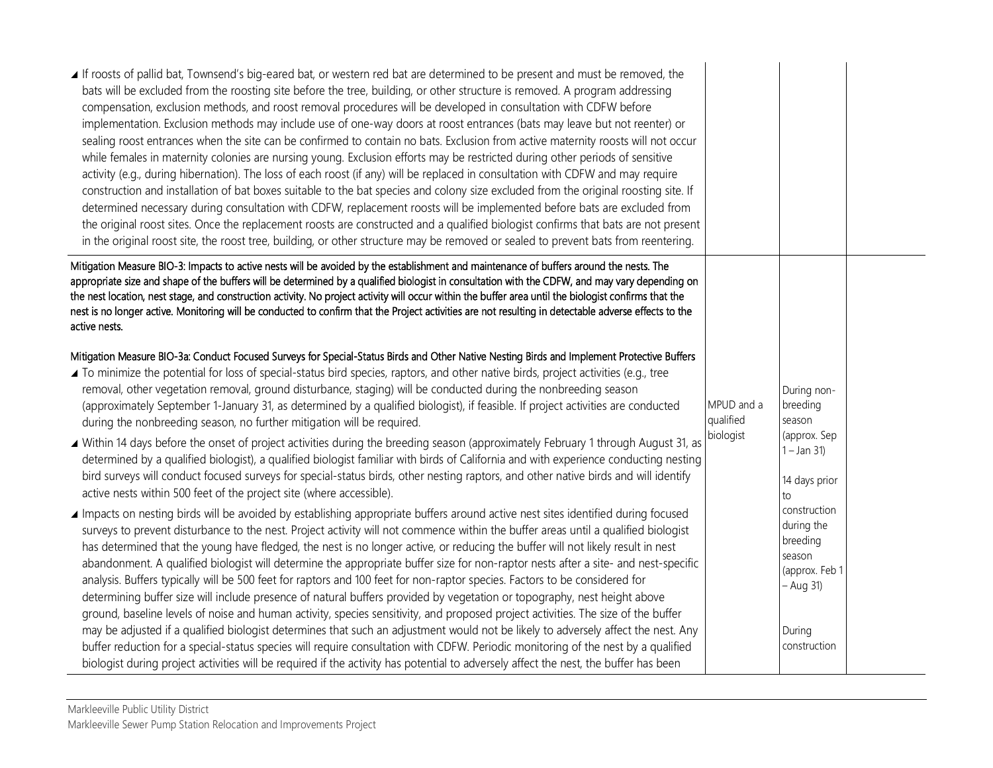| If roosts of pallid bat, Townsend's big-eared bat, or western red bat are determined to be present and must be removed, the<br>bats will be excluded from the roosting site before the tree, building, or other structure is removed. A program addressing<br>compensation, exclusion methods, and roost removal procedures will be developed in consultation with CDFW before<br>implementation. Exclusion methods may include use of one-way doors at roost entrances (bats may leave but not reenter) or<br>sealing roost entrances when the site can be confirmed to contain no bats. Exclusion from active maternity roosts will not occur<br>while females in maternity colonies are nursing young. Exclusion efforts may be restricted during other periods of sensitive<br>activity (e.g., during hibernation). The loss of each roost (if any) will be replaced in consultation with CDFW and may require<br>construction and installation of bat boxes suitable to the bat species and colony size excluded from the original roosting site. If<br>determined necessary during consultation with CDFW, replacement roosts will be implemented before bats are excluded from<br>the original roost sites. Once the replacement roosts are constructed and a qualified biologist confirms that bats are not present<br>in the original roost site, the roost tree, building, or other structure may be removed or sealed to prevent bats from reentering. |                         |                                                                                 |  |
|-------------------------------------------------------------------------------------------------------------------------------------------------------------------------------------------------------------------------------------------------------------------------------------------------------------------------------------------------------------------------------------------------------------------------------------------------------------------------------------------------------------------------------------------------------------------------------------------------------------------------------------------------------------------------------------------------------------------------------------------------------------------------------------------------------------------------------------------------------------------------------------------------------------------------------------------------------------------------------------------------------------------------------------------------------------------------------------------------------------------------------------------------------------------------------------------------------------------------------------------------------------------------------------------------------------------------------------------------------------------------------------------------------------------------------------------------------------------|-------------------------|---------------------------------------------------------------------------------|--|
| Mitigation Measure BIO-3: Impacts to active nests will be avoided by the establishment and maintenance of buffers around the nests. The<br>appropriate size and shape of the buffers will be determined by a qualified biologist in consultation with the CDFW, and may vary depending on<br>the nest location, nest stage, and construction activity. No project activity will occur within the buffer area until the biologist confirms that the<br>nest is no longer active. Monitoring will be conducted to confirm that the Project activities are not resulting in detectable adverse effects to the<br>active nests.                                                                                                                                                                                                                                                                                                                                                                                                                                                                                                                                                                                                                                                                                                                                                                                                                                       |                         |                                                                                 |  |
| Mitigation Measure BIO-3a: Conduct Focused Surveys for Special-Status Birds and Other Native Nesting Birds and Implement Protective Buffers<br>▲ To minimize the potential for loss of special-status bird species, raptors, and other native birds, project activities (e.g., tree<br>removal, other vegetation removal, ground disturbance, staging) will be conducted during the nonbreeding season<br>(approximately September 1-January 31, as determined by a qualified biologist), if feasible. If project activities are conducted<br>during the nonbreeding season, no further mitigation will be required.                                                                                                                                                                                                                                                                                                                                                                                                                                                                                                                                                                                                                                                                                                                                                                                                                                              | MPUD and a<br>qualified | During non-<br>breeding<br>season                                               |  |
| ▲ Within 14 days before the onset of project activities during the breeding season (approximately February 1 through August 31, as<br>determined by a qualified biologist), a qualified biologist familiar with birds of California and with experience conducting nesting<br>bird surveys will conduct focused surveys for special-status birds, other nesting raptors, and other native birds and will identify<br>active nests within 500 feet of the project site (where accessible).                                                                                                                                                                                                                                                                                                                                                                                                                                                                                                                                                                                                                                                                                                                                                                                                                                                                                                                                                                         | biologist               | (approx. Sep<br>$1 - Jan 31$<br>14 days prior<br>to                             |  |
| Impacts on nesting birds will be avoided by establishing appropriate buffers around active nest sites identified during focused<br>surveys to prevent disturbance to the nest. Project activity will not commence within the buffer areas until a qualified biologist<br>has determined that the young have fledged, the nest is no longer active, or reducing the buffer will not likely result in nest<br>abandonment. A qualified biologist will determine the appropriate buffer size for non-raptor nests after a site- and nest-specific<br>analysis. Buffers typically will be 500 feet for raptors and 100 feet for non-raptor species. Factors to be considered for<br>determining buffer size will include presence of natural buffers provided by vegetation or topography, nest height above<br>ground, baseline levels of noise and human activity, species sensitivity, and proposed project activities. The size of the buffer                                                                                                                                                                                                                                                                                                                                                                                                                                                                                                                     |                         | construction<br>during the<br>breeding<br>season<br>(approx. Feb 1<br>- Aug 31) |  |
| may be adjusted if a qualified biologist determines that such an adjustment would not be likely to adversely affect the nest. Any<br>buffer reduction for a special-status species will require consultation with CDFW. Periodic monitoring of the nest by a qualified<br>biologist during project activities will be required if the activity has potential to adversely affect the nest, the buffer has been                                                                                                                                                                                                                                                                                                                                                                                                                                                                                                                                                                                                                                                                                                                                                                                                                                                                                                                                                                                                                                                    |                         | During<br>construction                                                          |  |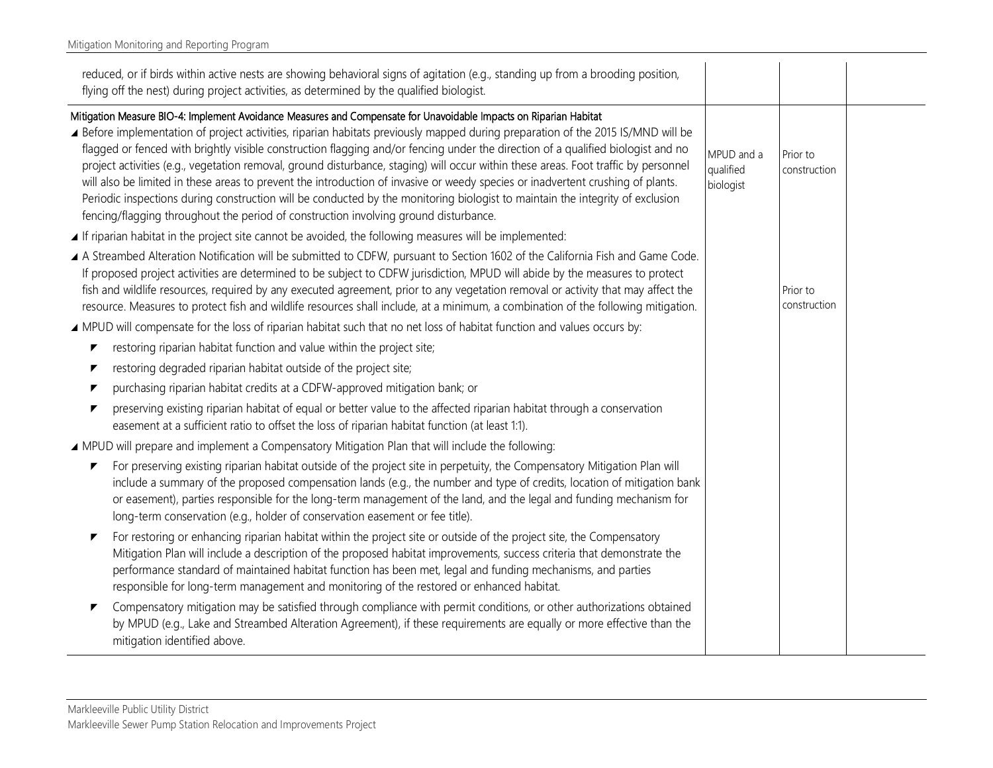| reduced, or if birds within active nests are showing behavioral signs of agitation (e.g., standing up from a brooding position,<br>flying off the nest) during project activities, as determined by the qualified biologist.                                                                                                                                                                                                                                                                                                                                                                                                                                                                                                                                                                                                                                                                 |                                      |                          |  |
|----------------------------------------------------------------------------------------------------------------------------------------------------------------------------------------------------------------------------------------------------------------------------------------------------------------------------------------------------------------------------------------------------------------------------------------------------------------------------------------------------------------------------------------------------------------------------------------------------------------------------------------------------------------------------------------------------------------------------------------------------------------------------------------------------------------------------------------------------------------------------------------------|--------------------------------------|--------------------------|--|
| Mitigation Measure BIO-4: Implement Avoidance Measures and Compensate for Unavoidable Impacts on Riparian Habitat<br>▲ Before implementation of project activities, riparian habitats previously mapped during preparation of the 2015 IS/MND will be<br>flagged or fenced with brightly visible construction flagging and/or fencing under the direction of a qualified biologist and no<br>project activities (e.g., vegetation removal, ground disturbance, staging) will occur within these areas. Foot traffic by personnel<br>will also be limited in these areas to prevent the introduction of invasive or weedy species or inadvertent crushing of plants.<br>Periodic inspections during construction will be conducted by the monitoring biologist to maintain the integrity of exclusion<br>fencing/flagging throughout the period of construction involving ground disturbance. | MPUD and a<br>qualified<br>biologist | Prior to<br>construction |  |
| ⊿ If riparian habitat in the project site cannot be avoided, the following measures will be implemented:<br>▲ A Streambed Alteration Notification will be submitted to CDFW, pursuant to Section 1602 of the California Fish and Game Code.<br>If proposed project activities are determined to be subject to CDFW jurisdiction, MPUD will abide by the measures to protect                                                                                                                                                                                                                                                                                                                                                                                                                                                                                                                  |                                      |                          |  |
| fish and wildlife resources, required by any executed agreement, prior to any vegetation removal or activity that may affect the<br>resource. Measures to protect fish and wildlife resources shall include, at a minimum, a combination of the following mitigation.                                                                                                                                                                                                                                                                                                                                                                                                                                                                                                                                                                                                                        |                                      | Prior to<br>construction |  |
| A MPUD will compensate for the loss of riparian habitat such that no net loss of habitat function and values occurs by:                                                                                                                                                                                                                                                                                                                                                                                                                                                                                                                                                                                                                                                                                                                                                                      |                                      |                          |  |
| restoring riparian habitat function and value within the project site;<br>▼                                                                                                                                                                                                                                                                                                                                                                                                                                                                                                                                                                                                                                                                                                                                                                                                                  |                                      |                          |  |
| restoring degraded riparian habitat outside of the project site;<br>▼                                                                                                                                                                                                                                                                                                                                                                                                                                                                                                                                                                                                                                                                                                                                                                                                                        |                                      |                          |  |
| purchasing riparian habitat credits at a CDFW-approved mitigation bank; or<br>▼                                                                                                                                                                                                                                                                                                                                                                                                                                                                                                                                                                                                                                                                                                                                                                                                              |                                      |                          |  |
| preserving existing riparian habitat of equal or better value to the affected riparian habitat through a conservation<br>easement at a sufficient ratio to offset the loss of riparian habitat function (at least 1:1).                                                                                                                                                                                                                                                                                                                                                                                                                                                                                                                                                                                                                                                                      |                                      |                          |  |
| ▲ MPUD will prepare and implement a Compensatory Mitigation Plan that will include the following:                                                                                                                                                                                                                                                                                                                                                                                                                                                                                                                                                                                                                                                                                                                                                                                            |                                      |                          |  |
| For preserving existing riparian habitat outside of the project site in perpetuity, the Compensatory Mitigation Plan will<br>▼<br>include a summary of the proposed compensation lands (e.g., the number and type of credits, location of mitigation bank<br>or easement), parties responsible for the long-term management of the land, and the legal and funding mechanism for<br>long-term conservation (e.g., holder of conservation easement or fee title).                                                                                                                                                                                                                                                                                                                                                                                                                             |                                      |                          |  |
| For restoring or enhancing riparian habitat within the project site or outside of the project site, the Compensatory<br>Mitigation Plan will include a description of the proposed habitat improvements, success criteria that demonstrate the<br>performance standard of maintained habitat function has been met, legal and funding mechanisms, and parties<br>responsible for long-term management and monitoring of the restored or enhanced habitat.                                                                                                                                                                                                                                                                                                                                                                                                                                    |                                      |                          |  |
| Compensatory mitigation may be satisfied through compliance with permit conditions, or other authorizations obtained<br>by MPUD (e.g., Lake and Streambed Alteration Agreement), if these requirements are equally or more effective than the<br>mitigation identified above.                                                                                                                                                                                                                                                                                                                                                                                                                                                                                                                                                                                                                |                                      |                          |  |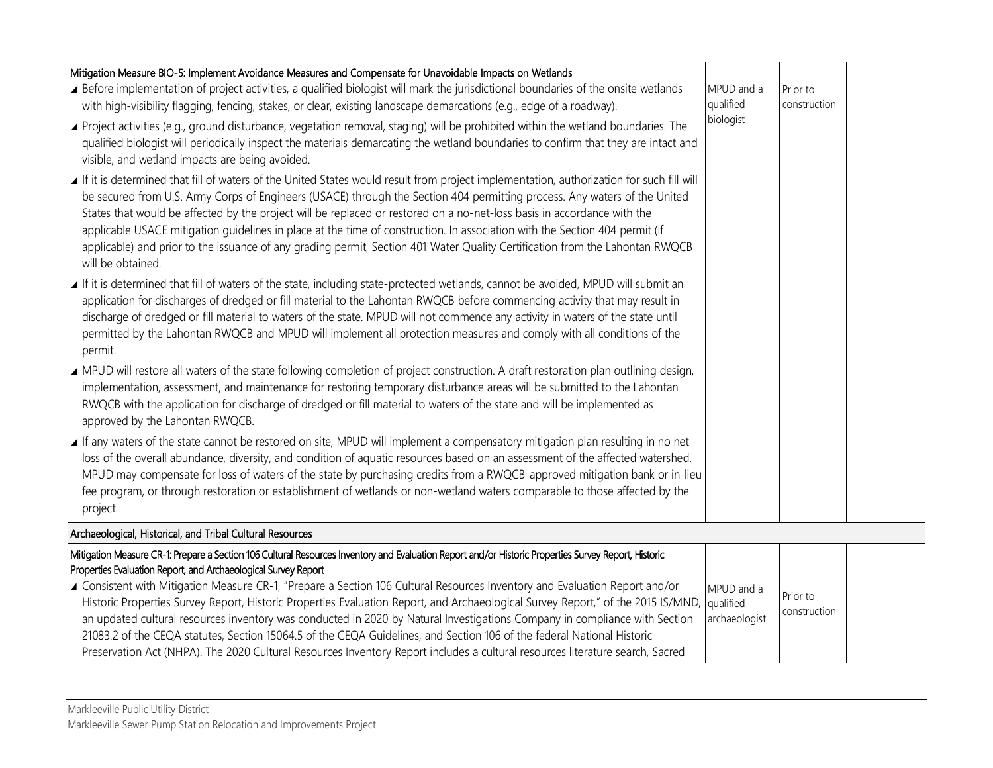| Mitigation Measure BIO-5: Implement Avoidance Measures and Compensate for Unavoidable Impacts on Wetlands<br>▲ Before implementation of project activities, a qualified biologist will mark the jurisdictional boundaries of the onsite wetlands<br>with high-visibility flagging, fencing, stakes, or clear, existing landscape demarcations (e.g., edge of a roadway).<br>▲ Project activities (e.g., ground disturbance, vegetation removal, staging) will be prohibited within the wetland boundaries. The<br>qualified biologist will periodically inspect the materials demarcating the wetland boundaries to confirm that they are intact and<br>visible, and wetland impacts are being avoided.<br>If it is determined that fill of waters of the United States would result from project implementation, authorization for such fill will<br>be secured from U.S. Army Corps of Engineers (USACE) through the Section 404 permitting process. Any waters of the United<br>States that would be affected by the project will be replaced or restored on a no-net-loss basis in accordance with the | MPUD and a<br>qualified<br>biologist | Prior to<br>construction |  |
|------------------------------------------------------------------------------------------------------------------------------------------------------------------------------------------------------------------------------------------------------------------------------------------------------------------------------------------------------------------------------------------------------------------------------------------------------------------------------------------------------------------------------------------------------------------------------------------------------------------------------------------------------------------------------------------------------------------------------------------------------------------------------------------------------------------------------------------------------------------------------------------------------------------------------------------------------------------------------------------------------------------------------------------------------------------------------------------------------------|--------------------------------------|--------------------------|--|
| applicable USACE mitigation guidelines in place at the time of construction. In association with the Section 404 permit (if<br>applicable) and prior to the issuance of any grading permit, Section 401 Water Quality Certification from the Lahontan RWQCB<br>will be obtained.                                                                                                                                                                                                                                                                                                                                                                                                                                                                                                                                                                                                                                                                                                                                                                                                                           |                                      |                          |  |
| ■ If it is determined that fill of waters of the state, including state-protected wetlands, cannot be avoided, MPUD will submit an<br>application for discharges of dredged or fill material to the Lahontan RWQCB before commencing activity that may result in<br>discharge of dredged or fill material to waters of the state. MPUD will not commence any activity in waters of the state until<br>permitted by the Lahontan RWQCB and MPUD will implement all protection measures and comply with all conditions of the<br>permit.                                                                                                                                                                                                                                                                                                                                                                                                                                                                                                                                                                     |                                      |                          |  |
| ▲ MPUD will restore all waters of the state following completion of project construction. A draft restoration plan outlining design,<br>implementation, assessment, and maintenance for restoring temporary disturbance areas will be submitted to the Lahontan<br>RWQCB with the application for discharge of dredged or fill material to waters of the state and will be implemented as<br>approved by the Lahontan RWQCB.                                                                                                                                                                                                                                                                                                                                                                                                                                                                                                                                                                                                                                                                               |                                      |                          |  |
| If any waters of the state cannot be restored on site, MPUD will implement a compensatory mitigation plan resulting in no net<br>loss of the overall abundance, diversity, and condition of aquatic resources based on an assessment of the affected watershed.<br>MPUD may compensate for loss of waters of the state by purchasing credits from a RWQCB-approved mitigation bank or in-lieu<br>fee program, or through restoration or establishment of wetlands or non-wetland waters comparable to those affected by the<br>project.                                                                                                                                                                                                                                                                                                                                                                                                                                                                                                                                                                    |                                      |                          |  |
| Archaeological, Historical, and Tribal Cultural Resources                                                                                                                                                                                                                                                                                                                                                                                                                                                                                                                                                                                                                                                                                                                                                                                                                                                                                                                                                                                                                                                  |                                      |                          |  |
| Mitigation Measure CR-1: Prepare a Section 106 Cultural Resources Inventory and Evaluation Report and/or Historic Properties Survey Report, Historic<br>Properties Evaluation Report, and Archaeological Survey Report                                                                                                                                                                                                                                                                                                                                                                                                                                                                                                                                                                                                                                                                                                                                                                                                                                                                                     |                                      |                          |  |

## Properties Evaluation Report, and Archaeological Survey Report

| ▲ Consistent with Mitigation Measure CR-1, "Prepare a Section 106 Cultural Resources Inventory and Evaluation Report and/or<br>Historic Properties Survey Report, Historic Properties Evaluation Report, and Archaeological Survey Report," of the 2015 IS/MND,  qualified<br>an updated cultural resources inventory was conducted in 2020 by Natural Investigations Company in compliance with Section<br>21083.2 of the CEQA statutes, Section 15064.5 of the CEQA Guidelines, and Section 106 of the federal National Historic | MPUD and a<br>archaeologist | Prior to<br>construction |  |
|------------------------------------------------------------------------------------------------------------------------------------------------------------------------------------------------------------------------------------------------------------------------------------------------------------------------------------------------------------------------------------------------------------------------------------------------------------------------------------------------------------------------------------|-----------------------------|--------------------------|--|
| Preservation Act (NHPA). The 2020 Cultural Resources Inventory Report includes a cultural resources literature search, Sacred                                                                                                                                                                                                                                                                                                                                                                                                      |                             |                          |  |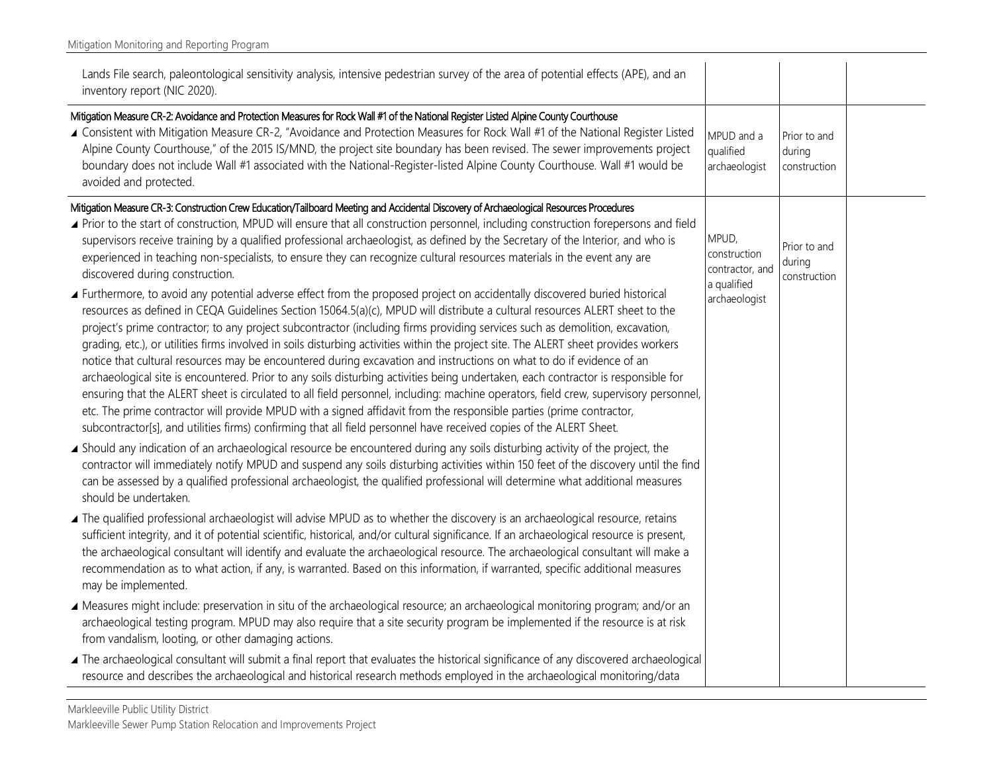| Lands File search, paleontological sensitivity analysis, intensive pedestrian survey of the area of potential effects (APE), and an<br>inventory report (NIC 2020).                                                                                                                                                                                                                                                                                                                                                                                                                                                                                                                                                                                                                                                                                                                                                                                                                                                                                                                                                                                                                   |                                          |                                        |  |
|---------------------------------------------------------------------------------------------------------------------------------------------------------------------------------------------------------------------------------------------------------------------------------------------------------------------------------------------------------------------------------------------------------------------------------------------------------------------------------------------------------------------------------------------------------------------------------------------------------------------------------------------------------------------------------------------------------------------------------------------------------------------------------------------------------------------------------------------------------------------------------------------------------------------------------------------------------------------------------------------------------------------------------------------------------------------------------------------------------------------------------------------------------------------------------------|------------------------------------------|----------------------------------------|--|
| Mitigation Measure CR-2: Avoidance and Protection Measures for Rock Wall #1 of the National Register Listed Alpine County Courthouse<br>▲ Consistent with Mitigation Measure CR-2, "Avoidance and Protection Measures for Rock Wall #1 of the National Register Listed<br>Alpine County Courthouse," of the 2015 IS/MND, the project site boundary has been revised. The sewer improvements project<br>boundary does not include Wall #1 associated with the National-Register-listed Alpine County Courthouse. Wall #1 would be<br>avoided and protected.                                                                                                                                                                                                                                                                                                                                                                                                                                                                                                                                                                                                                            | MPUD and a<br>qualified<br>archaeologist | Prior to and<br>during<br>construction |  |
| Mitigation Measure CR-3: Construction Crew Education/Tailboard Meeting and Accidental Discovery of Archaeological Resources Procedures<br>▲ Prior to the start of construction, MPUD will ensure that all construction personnel, including construction forepersons and field<br>supervisors receive training by a qualified professional archaeologist, as defined by the Secretary of the Interior, and who is<br>experienced in teaching non-specialists, to ensure they can recognize cultural resources materials in the event any are<br>discovered during construction.                                                                                                                                                                                                                                                                                                                                                                                                                                                                                                                                                                                                       | MPUD,<br>construction<br>contractor, and | Prior to and<br>during<br>construction |  |
| ▲ Furthermore, to avoid any potential adverse effect from the proposed project on accidentally discovered buried historical<br>resources as defined in CEQA Guidelines Section 15064.5(a)(c), MPUD will distribute a cultural resources ALERT sheet to the<br>project's prime contractor; to any project subcontractor (including firms providing services such as demolition, excavation,<br>grading, etc.), or utilities firms involved in soils disturbing activities within the project site. The ALERT sheet provides workers<br>notice that cultural resources may be encountered during excavation and instructions on what to do if evidence of an<br>archaeological site is encountered. Prior to any soils disturbing activities being undertaken, each contractor is responsible for<br>ensuring that the ALERT sheet is circulated to all field personnel, including: machine operators, field crew, supervisory personnel,<br>etc. The prime contractor will provide MPUD with a signed affidavit from the responsible parties (prime contractor,<br>subcontractor[s], and utilities firms) confirming that all field personnel have received copies of the ALERT Sheet. | a qualified<br>archaeologist             |                                        |  |
| ▲ Should any indication of an archaeological resource be encountered during any soils disturbing activity of the project, the<br>contractor will immediately notify MPUD and suspend any soils disturbing activities within 150 feet of the discovery until the find<br>can be assessed by a qualified professional archaeologist, the qualified professional will determine what additional measures<br>should be undertaken.                                                                                                                                                                                                                                                                                                                                                                                                                                                                                                                                                                                                                                                                                                                                                        |                                          |                                        |  |
| The qualified professional archaeologist will advise MPUD as to whether the discovery is an archaeological resource, retains<br>sufficient integrity, and it of potential scientific, historical, and/or cultural significance. If an archaeological resource is present,<br>the archaeological consultant will identify and evaluate the archaeological resource. The archaeological consultant will make a<br>recommendation as to what action, if any, is warranted. Based on this information, if warranted, specific additional measures<br>may be implemented.                                                                                                                                                                                                                                                                                                                                                                                                                                                                                                                                                                                                                  |                                          |                                        |  |
| A Measures might include: preservation in situ of the archaeological resource; an archaeological monitoring program; and/or an<br>archaeological testing program. MPUD may also require that a site security program be implemented if the resource is at risk<br>from vandalism, looting, or other damaging actions.                                                                                                                                                                                                                                                                                                                                                                                                                                                                                                                                                                                                                                                                                                                                                                                                                                                                 |                                          |                                        |  |
| The archaeological consultant will submit a final report that evaluates the historical significance of any discovered archaeological<br>resource and describes the archaeological and historical research methods employed in the archaeological monitoring/data                                                                                                                                                                                                                                                                                                                                                                                                                                                                                                                                                                                                                                                                                                                                                                                                                                                                                                                      |                                          |                                        |  |